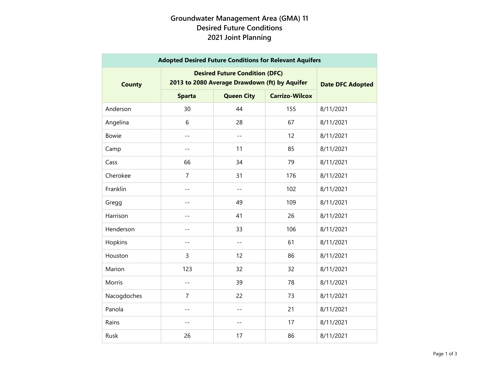## **Groundwater Management Area (GMA) 11 Desired Future Conditions 2021 Joint Planning**

| <b>Adopted Desired Future Conditions for Relevant Aquifers</b> |                                                                                        |                         |                       |           |  |  |
|----------------------------------------------------------------|----------------------------------------------------------------------------------------|-------------------------|-----------------------|-----------|--|--|
| <b>County</b>                                                  | <b>Desired Future Condition (DFC)</b><br>2013 to 2080 Average Drawdown (ft) by Aquifer | <b>Date DFC Adopted</b> |                       |           |  |  |
|                                                                | <b>Sparta</b>                                                                          | <b>Queen City</b>       | <b>Carrizo-Wilcox</b> |           |  |  |
| Anderson                                                       | 30                                                                                     | 44                      | 155                   | 8/11/2021 |  |  |
| Angelina                                                       | 6                                                                                      | 28                      | 67                    | 8/11/2021 |  |  |
| <b>Bowie</b>                                                   | $-$                                                                                    | $-$                     | 12                    | 8/11/2021 |  |  |
| Camp                                                           | $\qquad \qquad -$                                                                      | 11                      | 85                    | 8/11/2021 |  |  |
| Cass                                                           | 66                                                                                     | 34                      | 79                    | 8/11/2021 |  |  |
| Cherokee                                                       | $\overline{7}$                                                                         | 31                      | 176                   | 8/11/2021 |  |  |
| Franklin                                                       | $- -$                                                                                  | --                      | 102                   | 8/11/2021 |  |  |
| Gregg                                                          | $- -$                                                                                  | 49                      | 109                   | 8/11/2021 |  |  |
| Harrison                                                       | $ -$                                                                                   | 41                      | 26                    | 8/11/2021 |  |  |
| Henderson                                                      | $-$                                                                                    | 33                      | 106                   | 8/11/2021 |  |  |
| Hopkins                                                        | $-$                                                                                    | $-$                     | 61                    | 8/11/2021 |  |  |
| Houston                                                        | 3                                                                                      | 12                      | 86                    | 8/11/2021 |  |  |
| Marion                                                         | 123                                                                                    | 32                      | 32                    | 8/11/2021 |  |  |
| Morris                                                         | $-$                                                                                    | 39                      | 78                    | 8/11/2021 |  |  |
| Nacogdoches                                                    | $\overline{7}$                                                                         | 22                      | 73                    | 8/11/2021 |  |  |
| Panola                                                         | $-$                                                                                    | $-$                     | 21                    | 8/11/2021 |  |  |
| Rains                                                          | $-$                                                                                    | --                      | 17                    | 8/11/2021 |  |  |
| Rusk                                                           | 26                                                                                     | 17                      | 86                    | 8/11/2021 |  |  |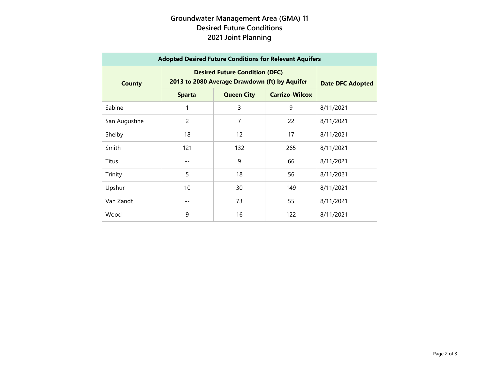## **Groundwater Management Area (GMA) 11 Desired Future Conditions 2021 Joint Planning**

| <b>Adopted Desired Future Conditions for Relevant Aquifers</b> |                                                                                        |                         |                       |           |  |  |
|----------------------------------------------------------------|----------------------------------------------------------------------------------------|-------------------------|-----------------------|-----------|--|--|
| <b>County</b>                                                  | <b>Desired Future Condition (DFC)</b><br>2013 to 2080 Average Drawdown (ft) by Aquifer | <b>Date DFC Adopted</b> |                       |           |  |  |
|                                                                | <b>Sparta</b>                                                                          | <b>Queen City</b>       | <b>Carrizo-Wilcox</b> |           |  |  |
| Sabine                                                         | 1                                                                                      | 3                       | 9                     | 8/11/2021 |  |  |
| San Augustine                                                  | $\overline{c}$                                                                         | 7                       | 22                    | 8/11/2021 |  |  |
| Shelby                                                         | 18                                                                                     | 12                      | 17                    | 8/11/2021 |  |  |
| Smith                                                          | 121                                                                                    | 132                     | 265                   | 8/11/2021 |  |  |
| Titus                                                          |                                                                                        | 9                       | 66                    | 8/11/2021 |  |  |
| Trinity                                                        | 5                                                                                      | 18                      | 56                    | 8/11/2021 |  |  |
| Upshur                                                         | 10                                                                                     | 30                      | 149                   | 8/11/2021 |  |  |
| Van Zandt                                                      | --                                                                                     | 73                      | 55                    | 8/11/2021 |  |  |
| Wood                                                           | 9                                                                                      | 16                      | 122                   | 8/11/2021 |  |  |